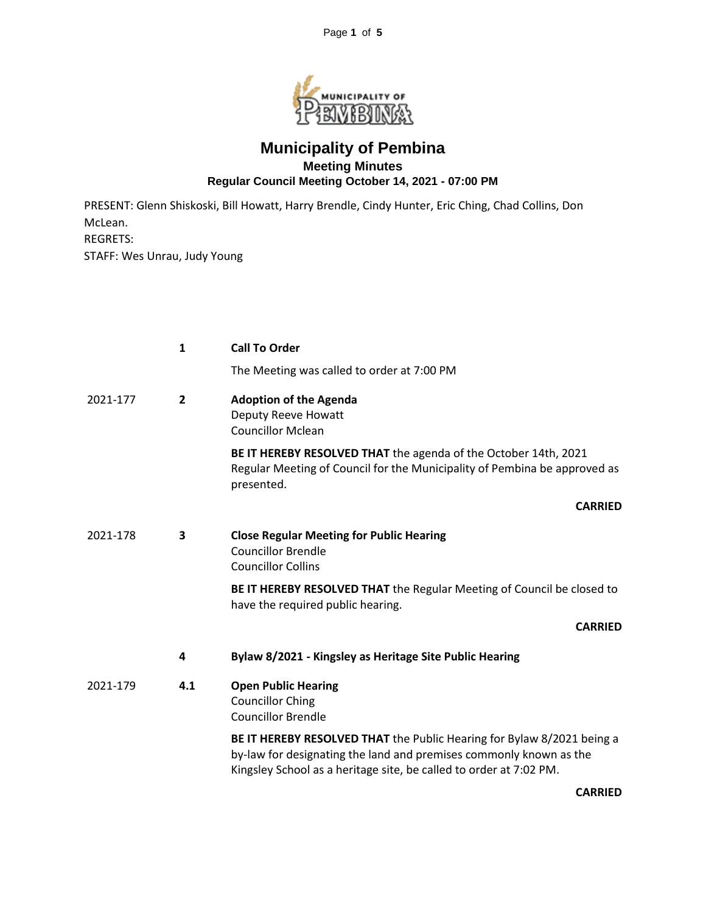

## **Municipality of Pembina Meeting Minutes Regular Council Meeting October 14, 2021 - 07:00 PM**

PRESENT: Glenn Shiskoski, Bill Howatt, Harry Brendle, Cindy Hunter, Eric Ching, Chad Collins, Don McLean. REGRETS: STAFF: Wes Unrau, Judy Young

|          | $\mathbf{1}$   | <b>Call To Order</b>                                                                                                                                                                                               |
|----------|----------------|--------------------------------------------------------------------------------------------------------------------------------------------------------------------------------------------------------------------|
|          |                | The Meeting was called to order at 7:00 PM                                                                                                                                                                         |
| 2021-177 | $\overline{2}$ | <b>Adoption of the Agenda</b><br>Deputy Reeve Howatt<br><b>Councillor Mclean</b>                                                                                                                                   |
|          |                | BE IT HEREBY RESOLVED THAT the agenda of the October 14th, 2021<br>Regular Meeting of Council for the Municipality of Pembina be approved as<br>presented.                                                         |
|          |                | <b>CARRIED</b>                                                                                                                                                                                                     |
| 2021-178 | 3              | <b>Close Regular Meeting for Public Hearing</b><br><b>Councillor Brendle</b><br><b>Councillor Collins</b>                                                                                                          |
|          |                | BE IT HEREBY RESOLVED THAT the Regular Meeting of Council be closed to<br>have the required public hearing.                                                                                                        |
|          |                | <b>CARRIED</b>                                                                                                                                                                                                     |
|          | 4              | Bylaw 8/2021 - Kingsley as Heritage Site Public Hearing                                                                                                                                                            |
| 2021-179 | 4.1            | <b>Open Public Hearing</b><br><b>Councillor Ching</b><br><b>Councillor Brendle</b>                                                                                                                                 |
|          |                | BE IT HEREBY RESOLVED THAT the Public Hearing for Bylaw 8/2021 being a<br>by-law for designating the land and premises commonly known as the<br>Kingsley School as a heritage site, be called to order at 7:02 PM. |
|          |                | <b>CARRIED</b>                                                                                                                                                                                                     |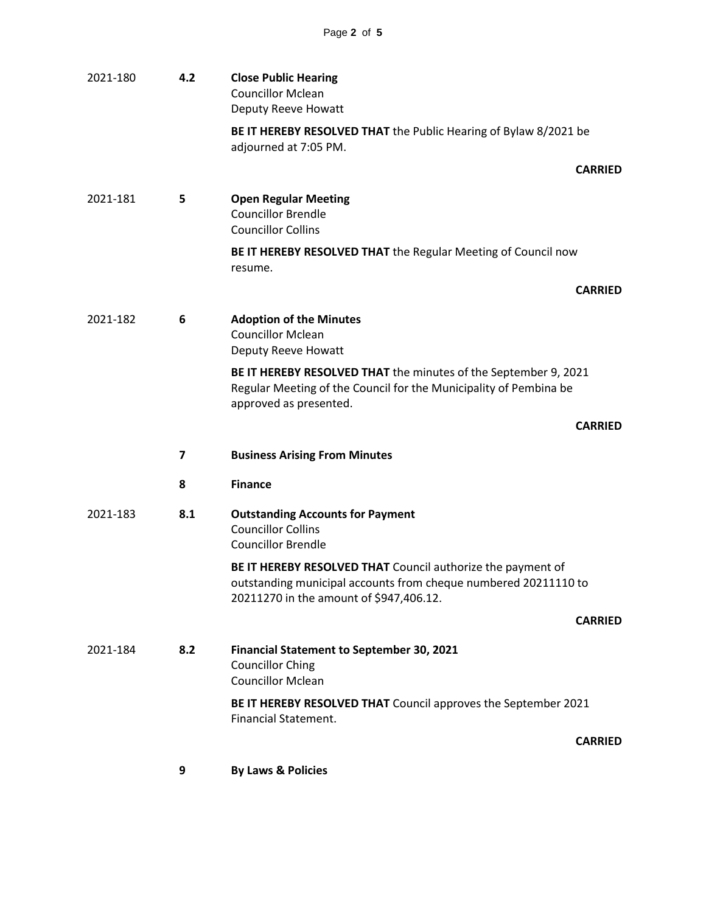| 2021-180 | 4.2            | <b>Close Public Hearing</b><br><b>Councillor Mclean</b><br>Deputy Reeve Howatt                                                                                            |  |
|----------|----------------|---------------------------------------------------------------------------------------------------------------------------------------------------------------------------|--|
|          |                | BE IT HEREBY RESOLVED THAT the Public Hearing of Bylaw 8/2021 be<br>adjourned at 7:05 PM.                                                                                 |  |
|          |                | <b>CARRIED</b>                                                                                                                                                            |  |
| 2021-181 | 5              | <b>Open Regular Meeting</b><br><b>Councillor Brendle</b><br><b>Councillor Collins</b>                                                                                     |  |
|          |                | BE IT HEREBY RESOLVED THAT the Regular Meeting of Council now<br>resume.                                                                                                  |  |
|          |                | <b>CARRIED</b>                                                                                                                                                            |  |
| 2021-182 | 6              | <b>Adoption of the Minutes</b><br><b>Councillor Mclean</b><br>Deputy Reeve Howatt                                                                                         |  |
|          |                | BE IT HEREBY RESOLVED THAT the minutes of the September 9, 2021<br>Regular Meeting of the Council for the Municipality of Pembina be<br>approved as presented.            |  |
|          |                | <b>CARRIED</b>                                                                                                                                                            |  |
|          | $\overline{ }$ | <b>Business Arising From Minutes</b>                                                                                                                                      |  |
|          | 8              | <b>Finance</b>                                                                                                                                                            |  |
| 2021-183 | 8.1            | <b>Outstanding Accounts for Payment</b><br><b>Councillor Collins</b><br><b>Councillor Brendle</b>                                                                         |  |
|          |                | BE IT HEREBY RESOLVED THAT Council authorize the payment of<br>outstanding municipal accounts from cheque numbered 20211110 to<br>20211270 in the amount of \$947,406.12. |  |
|          |                | <b>CARRIED</b>                                                                                                                                                            |  |
| 2021-184 | 8.2            | <b>Financial Statement to September 30, 2021</b><br><b>Councillor Ching</b><br><b>Councillor Mclean</b>                                                                   |  |
|          |                | BE IT HEREBY RESOLVED THAT Council approves the September 2021<br><b>Financial Statement.</b>                                                                             |  |
|          |                | <b>CARRIED</b>                                                                                                                                                            |  |
|          |                |                                                                                                                                                                           |  |

**9 By Laws & Policies**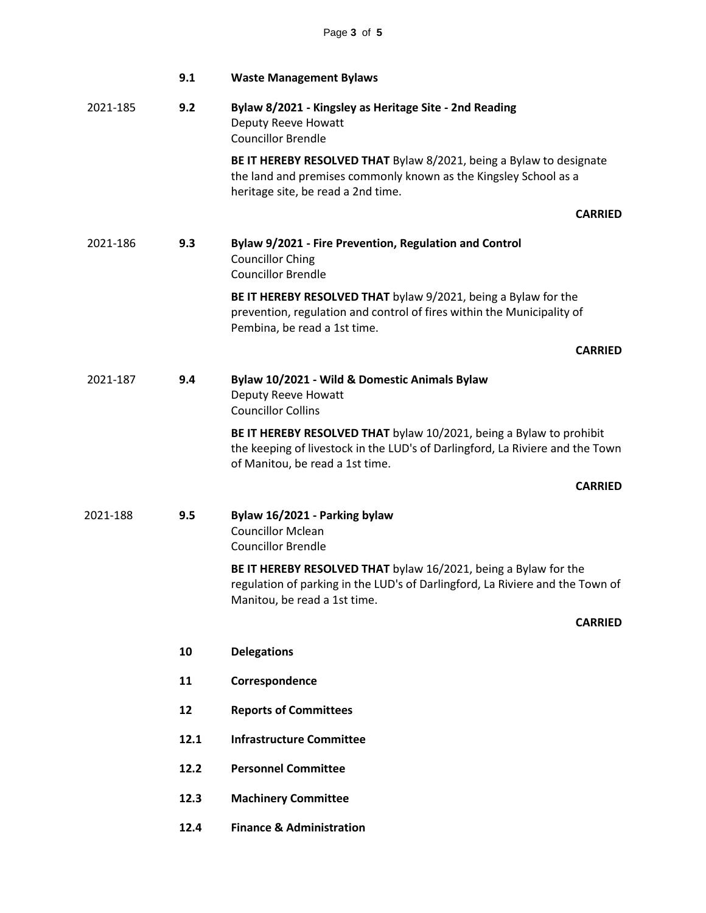|          | 9.1  | <b>Waste Management Bylaws</b>                                                                                                                                                          |
|----------|------|-----------------------------------------------------------------------------------------------------------------------------------------------------------------------------------------|
| 2021-185 | 9.2  | Bylaw 8/2021 - Kingsley as Heritage Site - 2nd Reading<br>Deputy Reeve Howatt<br><b>Councillor Brendle</b>                                                                              |
|          |      | BE IT HEREBY RESOLVED THAT Bylaw 8/2021, being a Bylaw to designate<br>the land and premises commonly known as the Kingsley School as a<br>heritage site, be read a 2nd time.           |
|          |      | <b>CARRIED</b>                                                                                                                                                                          |
| 2021-186 | 9.3  | Bylaw 9/2021 - Fire Prevention, Regulation and Control<br><b>Councillor Ching</b><br><b>Councillor Brendle</b>                                                                          |
|          |      | BE IT HEREBY RESOLVED THAT bylaw 9/2021, being a Bylaw for the<br>prevention, regulation and control of fires within the Municipality of<br>Pembina, be read a 1st time.                |
|          |      | <b>CARRIED</b>                                                                                                                                                                          |
| 2021-187 | 9.4  | Bylaw 10/2021 - Wild & Domestic Animals Bylaw<br><b>Deputy Reeve Howatt</b><br><b>Councillor Collins</b>                                                                                |
|          |      | BE IT HEREBY RESOLVED THAT bylaw 10/2021, being a Bylaw to prohibit<br>the keeping of livestock in the LUD's of Darlingford, La Riviere and the Town<br>of Manitou, be read a 1st time. |
|          |      | <b>CARRIED</b>                                                                                                                                                                          |
| 2021-188 | 9.5  | Bylaw 16/2021 - Parking bylaw<br><b>Councillor Mclean</b><br><b>Councillor Brendle</b>                                                                                                  |
|          |      | BE IT HEREBY RESOLVED THAT bylaw 16/2021, being a Bylaw for the<br>regulation of parking in the LUD's of Darlingford, La Riviere and the Town of<br>Manitou, be read a 1st time.        |
|          |      | <b>CARRIED</b>                                                                                                                                                                          |
|          | 10   | <b>Delegations</b>                                                                                                                                                                      |
|          | 11   | Correspondence                                                                                                                                                                          |
|          | 12   | <b>Reports of Committees</b>                                                                                                                                                            |
|          | 12.1 | <b>Infrastructure Committee</b>                                                                                                                                                         |
|          | 12.2 | <b>Personnel Committee</b>                                                                                                                                                              |
|          | 12.3 | <b>Machinery Committee</b>                                                                                                                                                              |
|          | 12.4 | <b>Finance &amp; Administration</b>                                                                                                                                                     |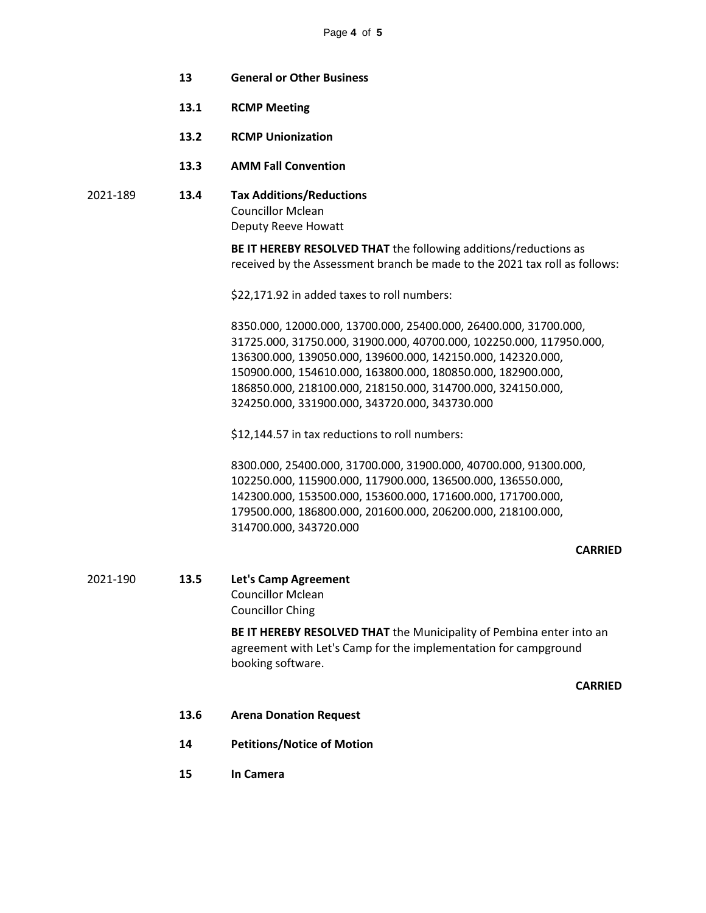- **13 General or Other Business**
- **13.1 RCMP Meeting**
- **13.2 RCMP Unionization**
- **13.3 AMM Fall Convention**
- 2021-189 **13.4 Tax Additions/Reductions** Councillor Mclean Deputy Reeve Howatt

**BE IT HEREBY RESOLVED THAT** the following additions/reductions as received by the Assessment branch be made to the 2021 tax roll as follows:

\$22,171.92 in added taxes to roll numbers:

8350.000, 12000.000, 13700.000, 25400.000, 26400.000, 31700.000, 31725.000, 31750.000, 31900.000, 40700.000, 102250.000, 117950.000, 136300.000, 139050.000, 139600.000, 142150.000, 142320.000, 150900.000, 154610.000, 163800.000, 180850.000, 182900.000, 186850.000, 218100.000, 218150.000, 314700.000, 324150.000, 324250.000, 331900.000, 343720.000, 343730.000

\$12,144.57 in tax reductions to roll numbers:

8300.000, 25400.000, 31700.000, 31900.000, 40700.000, 91300.000, 102250.000, 115900.000, 117900.000, 136500.000, 136550.000, 142300.000, 153500.000, 153600.000, 171600.000, 171700.000, 179500.000, 186800.000, 201600.000, 206200.000, 218100.000, 314700.000, 343720.000

## **CARRIED**

## 2021-190 **13.5 Let's Camp Agreement**

Councillor Mclean Councillor Ching

**BE IT HEREBY RESOLVED THAT** the Municipality of Pembina enter into an agreement with Let's Camp for the implementation for campground booking software.

**CARRIED**

- **13.6 Arena Donation Request**
- **14 Petitions/Notice of Motion**
- **15 In Camera**